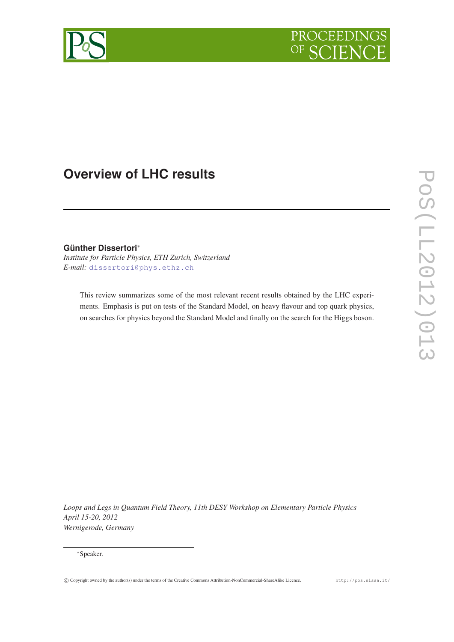



# **Overview of LHC results**

**Günther Dissertori**<sup>∗</sup> *Institute for Particle Physics, ETH Zurich, Switzerland E-mail:* [dissertori@phys.ethz.ch](mailto:dissertori@phys.ethz.ch)

This review summarizes some of the most relevant recent results obtained by the LHC experiments. Emphasis is put on tests of the Standard Model, on heavy flavour and top quark physics, on searches for physics beyond the Standard Model and finally on the search for the Higgs boson.

*Loops and Legs in Quantum Field Theory, 11th DESY Workshop on Elementary Particle Physics April 15-20, 2012 Wernigerode, Germany*

<sup>∗</sup>Speaker.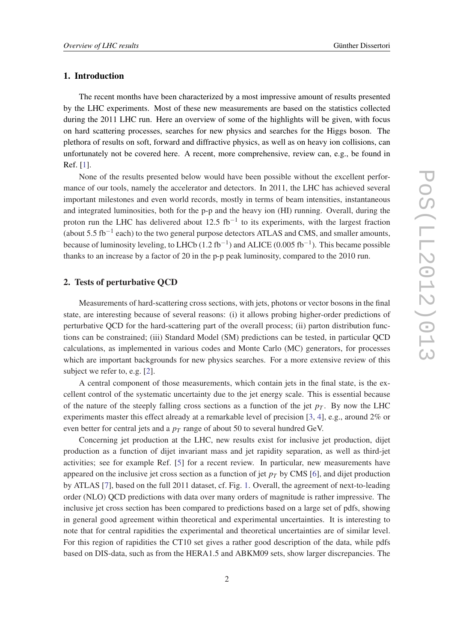## 1. Introduction

The recent months have been characterized by a most impressive amount of results presented by the LHC experiments. Most of these new measurements are based on the statistics collected during the 2011 LHC run. Here an overview of some of the highlights will be given, with focus on hard scattering processes, searches for new physics and searches for the Higgs boson. The plethora of results on soft, forward and diffractive physics, as well as on heavy ion collisions, can unfortunately not be covered here. A recent, more comprehensive, review can, e.g., be found in Ref. [\[1\]](#page-8-0).

None of the results presented below would have been possible without the excellent performance of our tools, namely the accelerator and detectors. In 2011, the LHC has achieved several important milestones and even world records, mostly in terms of beam intensities, instantaneous and integrated luminosities, both for the p-p and the heavy ion (HI) running. Overall, during the proton run the LHC has delivered about 12.5 fb<sup>-1</sup> to its experiments, with the largest fraction (about 5.5 fb<sup>-1</sup> each) to the two general purpose detectors ATLAS and CMS, and smaller amounts, because of luminosity leveling, to LHCb (1.2 fb<sup>-1</sup>) and ALICE (0.005 fb<sup>-1</sup>). This became possible thanks to an increase by a factor of 20 in the p-p peak luminosity, compared to the 2010 run.

#### 2. Tests of perturbative QCD

Measurements of hard-scattering cross sections, with jets, photons or vector bosons in the final state, are interesting because of several reasons: (i) it allows probing higher-order predictions of perturbative QCD for the hard-scattering part of the overall process; (ii) parton distribution functions can be constrained; (iii) Standard Model (SM) predictions can be tested, in particular QCD calculations, as implemented in various codes and Monte Carlo (MC) generators, for processes which are important backgrounds for new physics searches. For a more extensive review of this subject we refer to, e.g. [[2](#page-8-0)].

A central component of those measurements, which contain jets in the final state, is the excellent control of the systematic uncertainty due to the jet energy scale. This is essential because of the nature of the steeply falling cross sections as a function of the jet  $p<sub>T</sub>$ . By now the LHC experiments master this effect already at a remarkable level of precision [\[3](#page-8-0), [4\]](#page-8-0), e.g., around 2% or even better for central jets and a  $p<sub>T</sub>$  range of about 50 to several hundred GeV.

Concerning jet production at the LHC, new results exist for inclusive jet production, dijet production as a function of dijet invariant mass and jet rapidity separation, as well as third-jet activities; see for example Ref. [[5\]](#page-8-0) for a recent review. In particular, new measurements have appeared on the inclusive jet cross section as a function of jet  $p<sub>T</sub>$  by CMS [[6](#page-8-0)], and dijet production by ATLAS [\[7\]](#page-8-0), based on the full 2011 dataset, cf. Fig. [1.](#page-2-0) Overall, the agreement of next-to-leading order (NLO) QCD predictions with data over many orders of magnitude is rather impressive. The inclusive jet cross section has been compared to predictions based on a large set of pdfs, showing in general good agreement within theoretical and experimental uncertainties. It is interesting to note that for central rapidities the experimental and theoretical uncertainties are of similar level. For this region of rapidities the CT10 set gives a rather good description of the data, while pdfs based on DIS-data, such as from the HERA1.5 and ABKM09 sets, show larger discrepancies. The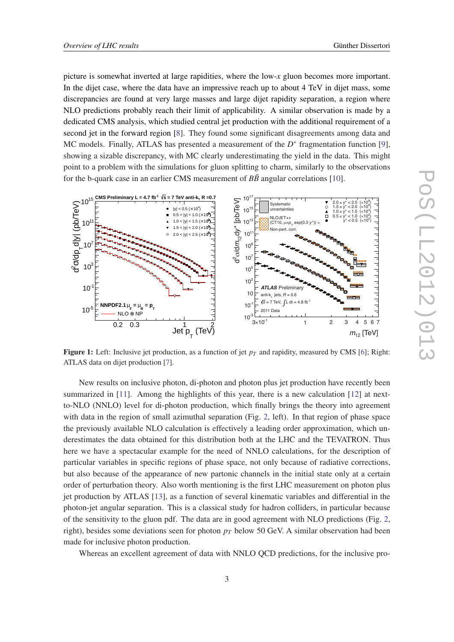<span id="page-2-0"></span>picture is somewhat inverted at large rapidities, where the low-*x* gluon becomes more important. In the dijet case, where the data have an impressive reach up to about 4 TeV in dijet mass, some discrepancies are found at very large masses and large dijet rapidity separation, a region where NLO predictions probably reach their limit of applicability. A similar observation is made by a dedicated CMS analysis, which studied central jet production with the additional requirement of a second jet in the forward region [\[8\]](#page-8-0). They found some significant disagreements among data and MC models. Finally, ATLAS has presented a measurement of the  $D^*$  fragmentation function [\[9\]](#page-8-0), showing a sizable discrepancy, with MC clearly underestimating the yield in the data. This might point to a problem with the simulations for gluon splitting to charm, similarly to the observations for the b-quark case in an earlier CMS measurement of  $B\bar{B}$  angular correlations [[10\]](#page-8-0).



**Figure 1:** Left: Inclusive jet production, as a function of jet  $p<sub>T</sub>$  and rapidity, measured by CMS [\[6](#page-8-0)]; Right: ATLAS data on dijet production [[7\]](#page-8-0).

New results on inclusive photon, di-photon and photon plus jet production have recently been summarized in [\[11](#page-8-0)]. Among the highlights of this year, there is a new calculation [[12\]](#page-8-0) at nextto-NLO (NNLO) level for di-photon production, which finally brings the theory into agreement with data in the region of small azimuthal separation (Fig. [2](#page-3-0), left). In that region of phase space the previously available NLO calculation is effectively a leading order approximation, which underestimates the data obtained for this distribution both at the LHC and the TEVATRON. Thus here we have a spectacular example for the need of NNLO calculations, for the description of particular variables in specific regions of phase space, not only because of radiative corrections, but also because of the appearance of new partonic channels in the initial state only at a certain order of perturbation theory. Also worth mentioning is the first LHC measurement on photon plus jet production by ATLAS [\[13](#page-8-0)], as a function of several kinematic variables and differential in the photon-jet angular separation. This is a classical study for hadron colliders, in particular because of the sensitivity to the gluon pdf. The data are in good agreement with NLO predictions (Fig. [2](#page-3-0), right), besides some deviations seen for photon  $p<sub>T</sub>$  below 50 GeV. A similar observation had been made for inclusive photon production.

Whereas an excellent agreement of data with NNLO QCD predictions, for the inclusive pro-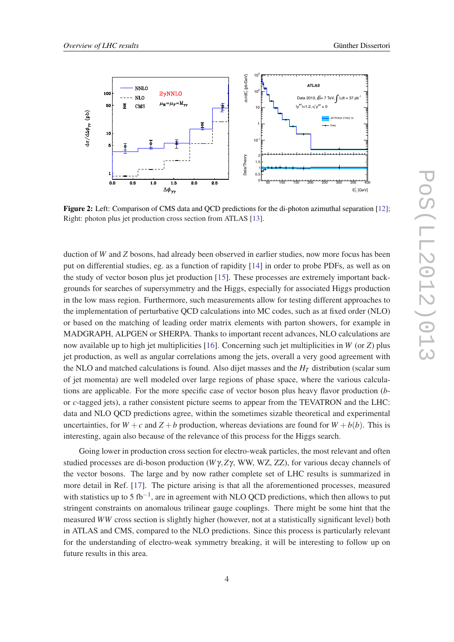<span id="page-3-0"></span>

Figure 2: Left: Comparison of CMS data and QCD predictions for the di-photon azimuthal separation [[12\]](#page-8-0); Right: photon plus jet production cross section from ATLAS [\[13](#page-8-0)].

duction of *W* and *Z* bosons, had already been observed in earlier studies, now more focus has been put on differential studies, eg. as a function of rapidity [\[14\]](#page-8-0) in order to probe PDFs, as well as on the study of vector boson plus jet production [\[15](#page-8-0)]. These processes are extremely important backgrounds for searches of supersymmetry and the Higgs, especially for associated Higgs production in the low mass region. Furthermore, such measurements allow for testing different approaches to the implementation of perturbative QCD calculations into MC codes, such as at fixed order (NLO) or based on the matching of leading order matrix elements with parton showers, for example in MADGRAPH, ALPGEN or SHERPA. Thanks to important recent advances, NLO calculations are now available up to high jet multiplicities [[16\]](#page-8-0). Concerning such jet multiplicities in *W* (or *Z*) plus jet production, as well as angular correlations among the jets, overall a very good agreement with the NLO and matched calculations is found. Also dijet masses and the *H<sup>T</sup>* distribution (scalar sum of jet momenta) are well modeled over large regions of phase space, where the various calculations are applicable. For the more specific case of vector boson plus heavy flavor production (*b*or *c*-tagged jets), a rather consistent picture seems to appear from the TEVATRON and the LHC: data and NLO QCD predictions agree, within the sometimes sizable theoretical and experimental uncertainties, for  $W + c$  and  $Z + b$  production, whereas deviations are found for  $W + b(b)$ . This is interesting, again also because of the relevance of this process for the Higgs search.

Going lower in production cross section for electro-weak particles, the most relevant and often studied processes are di-boson production (*W*γ,*Z*γ, WW, WZ, ZZ), for various decay channels of the vector bosons. The large and by now rather complete set of LHC results is summarized in more detail in Ref. [\[17](#page-8-0)]. The picture arising is that all the aforementioned processes, measured with statistics up to 5 fb<sup>-1</sup>, are in agreement with NLO QCD predictions, which then allows to put stringent constraints on anomalous trilinear gauge couplings. There might be some hint that the measured *WW* cross section is slightly higher (however, not at a statistically significant level) both in ATLAS and CMS, compared to the NLO predictions. Since this process is particularly relevant for the understanding of electro-weak symmetry breaking, it will be interesting to follow up on future results in this area.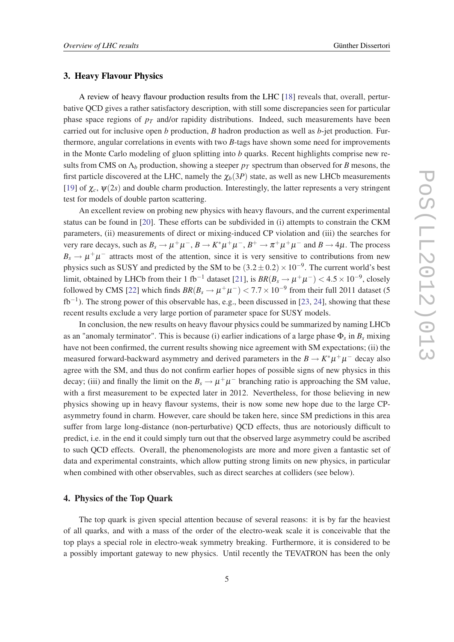## 3. Heavy Flavour Physics

A review of heavy flavour production results from the LHC [\[18\]](#page-8-0) reveals that, overall, perturbative QCD gives a rather satisfactory description, with still some discrepancies seen for particular phase space regions of  $p_T$  and/or rapidity distributions. Indeed, such measurements have been carried out for inclusive open *b* production, *B* hadron production as well as *b*-jet production. Furthermore, angular correlations in events with two *B*-tags have shown some need for improvements in the Monte Carlo modeling of gluon splitting into *b* quarks. Recent highlights comprise new results from CMS on  $\Lambda_b$  production, showing a steeper  $p_T$  spectrum than observed for *B* mesons, the first particle discovered at the LHC, namely the  $\chi_b(3P)$  state, as well as new LHCb measurements [[19\]](#page-9-0) of  $\chi_c$ ,  $\psi(2s)$  and double charm production. Interestingly, the latter represents a very stringent test for models of double parton scattering.

An excellent review on probing new physics with heavy flavours, and the current experimental status can be found in [[20\]](#page-9-0). These efforts can be subdivided in (i) attempts to constrain the CKM parameters, (ii) measurements of direct or mixing-induced CP violation and (iii) the searches for very rare decays, such as  $B_s \to \mu^+\mu^-$ ,  $B \to K^*\mu^+\mu^-$ ,  $B^+ \to \pi^+\mu^+\mu^-$  and  $B \to 4\mu$ . The process  $B_s \to \mu^+\mu^-$  attracts most of the attention, since it is very sensitive to contributions from new physics such as SUSY and predicted by the SM to be  $(3.2 \pm 0.2) \times 10^{-9}$ . The current world's best limit, obtained by LHCb from their 1 fb<sup>-1</sup> dataset [\[21](#page-9-0)], is  $BR(B_s \to \mu^+\mu^-) < 4.5 \times 10^{-9}$ , closely followed by CMS [\[22](#page-9-0)] which finds  $BR(B_s \to \mu^+ \mu^-) < 7.7 \times 10^{-9}$  from their full 2011 dataset (5  $fb^{-1}$ ). The strong power of this observable has, e.g., been discussed in [\[23,](#page-9-0) [24](#page-9-0)], showing that these recent results exclude a very large portion of parameter space for SUSY models.

In conclusion, the new results on heavy flavour physics could be summarized by naming LHCb as an "anomaly terminator". This is because (i) earlier indications of a large phase Φ*<sup>s</sup>* in *B<sup>s</sup>* mixing have not been confirmed, the current results showing nice agreement with SM expectations; (ii) the measured forward-backward asymmetry and derived parameters in the  $B \to K^* \mu^+ \mu^-$  decay also agree with the SM, and thus do not confirm earlier hopes of possible signs of new physics in this decay; (iii) and finally the limit on the  $B_s \to \mu^+ \mu^-$  branching ratio is approaching the SM value, with a first measurement to be expected later in 2012. Nevertheless, for those believing in new physics showing up in heavy flavour systems, their is now some new hope due to the large CPasymmetry found in charm. However, care should be taken here, since SM predictions in this area suffer from large long-distance (non-perturbative) QCD effects, thus are notoriously difficult to predict, i.e. in the end it could simply turn out that the observed large asymmetry could be ascribed to such QCD effects. Overall, the phenomenologists are more and more given a fantastic set of data and experimental constraints, which allow putting strong limits on new physics, in particular when combined with other observables, such as direct searches at colliders (see below).

#### 4. Physics of the Top Quark

The top quark is given special attention because of several reasons: it is by far the heaviest of all quarks, and with a mass of the order of the electro-weak scale it is conceivable that the top plays a special role in electro-weak symmetry breaking. Furthermore, it is considered to be a possibly important gateway to new physics. Until recently the TEVATRON has been the only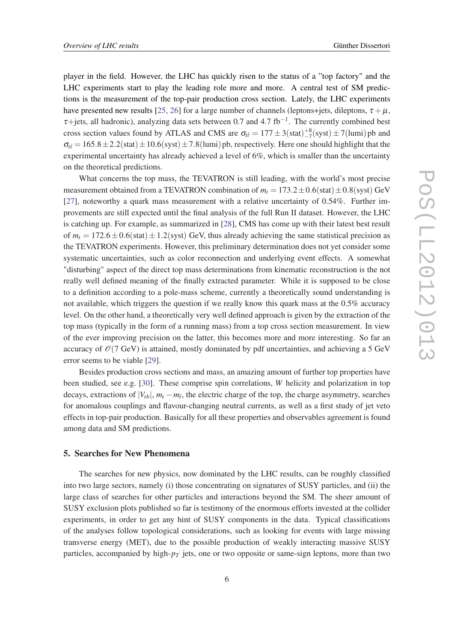player in the field. However, the LHC has quickly risen to the status of a "top factory" and the LHC experiments start to play the leading role more and more. A central test of SM predictions is the measurement of the top-pair production cross section. Lately, the LHC experiments have presented new results [[25](#page-9-0), [26\]](#page-9-0) for a large number of channels (leptons+jets, dileptons,  $\tau + \mu$ ,  $\tau$ +jets, all hadronic), analyzing data sets between 0.7 and 4.7 fb<sup>-1</sup>. The currently combined best cross section values found by ATLAS and CMS are  $\sigma_{t\bar{t}} = 177 \pm 3(\text{stat})^{+8}_{-7}(\text{syst}) \pm 7(\text{lumi})$  pb and  $\sigma_{t\bar{t}} = 165.8 \pm 2.2 \text{(stat)} \pm 10.6 \text{(syst)} \pm 7.8 \text{(lumi)}$  pb, respectively. Here one should highlight that the experimental uncertainty has already achieved a level of 6%, which is smaller than the uncertainty on the theoretical predictions.

What concerns the top mass, the TEVATRON is still leading, with the world's most precise measurement obtained from a TEVATRON combination of  $m_t = 173.2 \pm 0.6$  (stat)  $\pm 0.8$  (syst) GeV [[27\]](#page-9-0), noteworthy a quark mass measurement with a relative uncertainty of 0.54%. Further improvements are still expected until the final analysis of the full Run II dataset. However, the LHC is catching up. For example, as summarized in [\[28](#page-9-0)], CMS has come up with their latest best result of  $m_t = 172.6 \pm 0.6$ (stat)  $\pm 1.2$ (syst) GeV, thus already achieving the same statistical precision as the TEVATRON experiments. However, this preliminary determination does not yet consider some systematic uncertainties, such as color reconnection and underlying event effects. A somewhat "disturbing" aspect of the direct top mass determinations from kinematic reconstruction is the not really well defined meaning of the finally extracted parameter. While it is supposed to be close to a definition according to a pole-mass scheme, currently a theoretically sound understanding is not available, which triggers the question if we really know this quark mass at the 0.5% accuracy level. On the other hand, a theoretically very well defined approach is given by the extraction of the top mass (typically in the form of a running mass) from a top cross section measurement. In view of the ever improving precision on the latter, this becomes more and more interesting. So far an accuracy of  $\mathcal{O}(7 \text{ GeV})$  is attained, mostly dominated by pdf uncertainties, and achieving a 5 GeV error seems to be viable [[29\]](#page-9-0).

Besides production cross sections and mass, an amazing amount of further top properties have been studied, see e.g. [[30\]](#page-9-0). These comprise spin correlations, *W* helicity and polarization in top decays, extractions of  $|V_{tb}|$ ,  $m_t - m_{\overline{t}}$ , the electric charge of the top, the charge asymmetry, searches for anomalous couplings and flavour-changing neutral currents, as well as a first study of jet veto effects in top-pair production. Basically for all these properties and observables agreement is found among data and SM predictions.

## 5. Searches for New Phenomena

The searches for new physics, now dominated by the LHC results, can be roughly classified into two large sectors, namely (i) those concentrating on signatures of SUSY particles, and (ii) the large class of searches for other particles and interactions beyond the SM. The sheer amount of SUSY exclusion plots published so far is testimony of the enormous efforts invested at the collider experiments, in order to get any hint of SUSY components in the data. Typical classifications of the analyses follow topological considerations, such as looking for events with large missing transverse energy (MET), due to the possible production of weakly interacting massive SUSY particles, accompanied by high- $p<sub>T</sub>$  jets, one or two opposite or same-sign leptons, more than two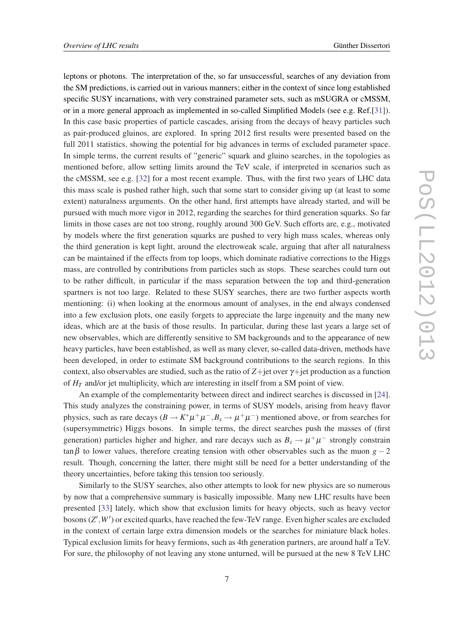leptons or photons. The interpretation of the, so far unsuccessful, searches of any deviation from the SM predictions, is carried out in various manners; either in the context of since long established specific SUSY incarnations, with very constrained parameter sets, such as mSUGRA or cMSSM, or in a more general approach as implemented in so-called Simplified Models (see e.g. Ref.[\[31\]](#page-9-0)). In this case basic properties of particle cascades, arising from the decays of heavy particles such as pair-produced gluinos, are explored. In spring 2012 first results were presented based on the full 2011 statistics, showing the potential for big advances in terms of excluded parameter space. In simple terms, the current results of "generic" squark and gluino searches, in the topologies as mentioned before, allow setting limits around the TeV scale, if interpreted in scenarios such as the cMSSM, see e.g. [\[32](#page-9-0)] for a most recent example. Thus, with the first two years of LHC data this mass scale is pushed rather high, such that some start to consider giving up (at least to some extent) naturalness arguments. On the other hand, first attempts have already started, and will be pursued with much more vigor in 2012, regarding the searches for third generation squarks. So far limits in those cases are not too strong, roughly around 300 GeV. Such efforts are, e.g., motivated by models where the first generation squarks are pushed to very high mass scales, whereas only the third generation is kept light, around the electroweak scale, arguing that after all naturalness can be maintained if the effects from top loops, which dominate radiative corrections to the Higgs mass, are controlled by contributions from particles such as stops. These searches could turn out to be rather difficult, in particular if the mass separation between the top and third-generation spartners is not too large. Related to these SUSY searches, there are two further aspects worth mentioning: (i) when looking at the enormous amount of analyses, in the end always condensed into a few exclusion plots, one easily forgets to appreciate the large ingenuity and the many new ideas, which are at the basis of those results. In particular, during these last years a large set of new observables, which are differently sensitive to SM backgrounds and to the appearance of new heavy particles, have been established, as well as many clever, so-called data-driven, methods have been developed, in order to estimate SM background contributions to the search regions. In this context, also observables are studied, such as the ratio of *Z*+jet over γ+jet production as a function of  $H_T$  and/or jet multiplicity, which are interesting in itself from a SM point of view.

An example of the complementarity between direct and indirect searches is discussed in [[24\]](#page-9-0). This study analyzes the constraining power, in terms of SUSY models, arising from heavy flavor physics, such as rare decays  $(B \to K^* \mu^+ \mu^-, B_s \to \mu^+ \mu^-)$  mentioned above, or from searches for (supersymmetric) Higgs bosons. In simple terms, the direct searches push the masses of (first generation) particles higher and higher, and rare decays such as  $B_s \to \mu^+ \mu^-$  strongly constrain tan β to lower values, therefore creating tension with other observables such as the muon  $g - 2$ result. Though, concerning the latter, there might still be need for a better understanding of the theory uncertainties, before taking this tension too seriously.

Similarly to the SUSY searches, also other attempts to look for new physics are so numerous by now that a comprehensive summary is basically impossible. Many new LHC results have been presented [[33\]](#page-9-0) lately, which show that exclusion limits for heavy objects, such as heavy vector bosons (*Z'*, *W'*) or excited quarks, have reached the few-TeV range. Even higher scales are excluded in the context of certain large extra dimension models or the searches for miniature black holes. Typical exclusion limits for heavy fermions, such as 4th generation partners, are around half a TeV. For sure, the philosophy of not leaving any stone unturned, will be pursued at the new 8 TeV LHC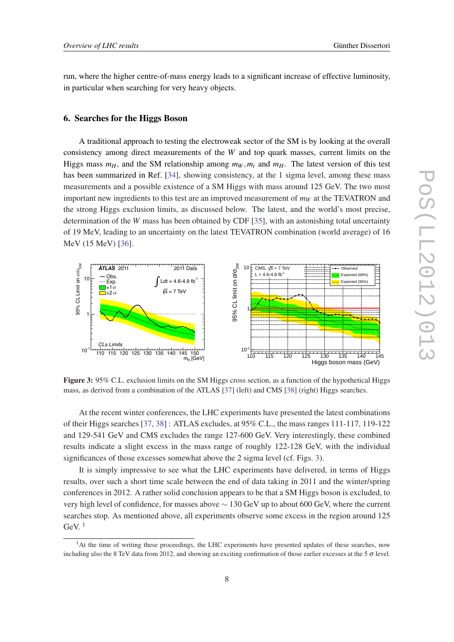run, where the higher centre-of-mass energy leads to a significant increase of effective luminosity, in particular when searching for very heavy objects.

#### 6. Searches for the Higgs Boson

A traditional approach to testing the electroweak sector of the SM is by looking at the overall consistency among direct measurements of the *W* and top quark masses, current limits on the Higgs mass  $m_H$ , and the SM relationship among  $m_W$ ,  $m_t$  and  $m_H$ . The latest version of this test has been summarized in Ref. [[34\]](#page-9-0), showing consistency, at the 1 sigma level, among these mass measurements and a possible existence of a SM Higgs with mass around 125 GeV. The two most important new ingredients to this test are an improved measurement of  $m_W$  at the TEVATRON and the strong Higgs exclusion limits, as discussed below. The latest, and the world's most precise, determination of the *W* mass has been obtained by CDF [\[35](#page-9-0)], with an astonishing total uncertainty of 19 MeV, leading to an uncertainty on the latest TEVATRON combination (world average) of 16 MeV (15 MeV) [\[36](#page-9-0)].



Figure 3: 95% C.L. exclusion limits on the SM Higgs cross section, as a function of the hypothetical Higgs mass, as derived from a combination of the ATLAS [\[37](#page-9-0)] (left) and CMS [\[38](#page-9-0)] (right) Higgs searches.

At the recent winter conferences, the LHC experiments have presented the latest combinations of their Higgs searches [\[37](#page-9-0), [38](#page-9-0)] : ATLAS excludes, at 95% C.L., the mass ranges 111-117, 119-122 and 129-541 GeV and CMS excludes the range 127-600 GeV. Very interestingly, these combined results indicate a slight excess in the mass range of roughly 122-128 GeV, with the individual significances of those excesses somewhat above the 2 sigma level (cf. Figs. 3).

It is simply impressive to see what the LHC experiments have delivered, in terms of Higgs results, over such a short time scale between the end of data taking in 2011 and the winter/spring conferences in 2012. A rather solid conclusion appears to be that a SM Higgs boson is excluded, to very high level of confidence, for masses above ∼ 130 GeV up to about 600 GeV, where the current searches stop. As mentioned above, all experiments observe some excess in the region around 125 GeV.  $1$ 

<sup>&</sup>lt;sup>1</sup>At the time of writing these proceedings, the LHC experiments have presented updates of these searches, now including also the 8 TeV data from 2012, and showing an exciting confirmation of those earlier excesses at the  $5\sigma$  level.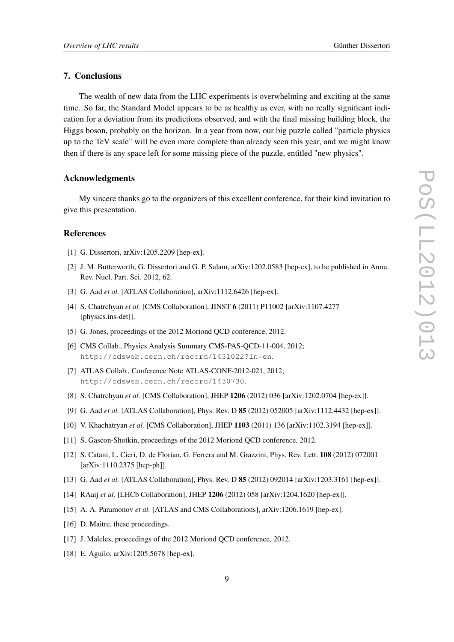## <span id="page-8-0"></span>7. Conclusions

The wealth of new data from the LHC experiments is overwhelming and exciting at the same time. So far, the Standard Model appears to be as healthy as ever, with no really significant indication for a deviation from its predictions observed, and with the final missing building block, the Higgs boson, probably on the horizon. In a year from now, our big puzzle called "particle physics up to the TeV scale" will be even more complete than already seen this year, and we might know then if there is any space left for some missing piece of the puzzle, entitled "new physics".

#### Acknowledgments

My sincere thanks go to the organizers of this excellent conference, for their kind invitation to give this presentation.

## References

- [1] G. Dissertori, arXiv:1205.2209 [hep-ex].
- [2] J. M. Butterworth, G. Dissertori and G. P. Salam, arXiv:1202.0583 [hep-ex], to be published in Annu. Rev. Nucl. Part. Sci. 2012, 62.
- [3] G. Aad *et al.* [ATLAS Collaboration], arXiv:1112.6426 [hep-ex].
- [4] S. Chatrchyan *et al.* [CMS Collaboration], JINST 6 (2011) P11002 [arXiv:1107.4277 [physics.ins-det]].
- [5] G. Jones, proceedings of the 2012 Moriond OCD conference, 2012.
- [6] CMS Collab., Physics Analysis Summary CMS-PAS-QCD-11-004, 2012; http://cdsweb.cern.ch/record/1431022?ln=en.
- [7] ATLAS Collab., Conference Note ATLAS-CONF-2012-021, 2012; http://cdsweb.cern.ch/record/1430730.
- [8] S. Chatrchyan *et al.* [CMS Collaboration], JHEP 1206 (2012) 036 [arXiv:1202.0704 [hep-ex]].
- [9] G. Aad *et al.* [ATLAS Collaboration], Phys. Rev. D 85 (2012) 052005 [arXiv:1112.4432 [hep-ex]].
- [10] V. Khachatryan *et al.* [CMS Collaboration], JHEP 1103 (2011) 136 [arXiv:1102.3194 [hep-ex]].
- [11] S. Gascon-Shotkin, proceedings of the 2012 Moriond QCD conference, 2012.
- [12] S. Catani, L. Cieri, D. de Florian, G. Ferrera and M. Grazzini, Phys. Rev. Lett. 108 (2012) 072001 [arXiv:1110.2375 [hep-ph]].
- [13] G. Aad *et al.* [ATLAS Collaboration], Phys. Rev. D 85 (2012) 092014 [arXiv:1203.3161 [hep-ex]].
- [14] RAaij *et al.* [LHCb Collaboration], JHEP 1206 (2012) 058 [arXiv:1204.1620 [hep-ex]].
- [15] A. A. Paramonov *et al.* [ATLAS and CMS Collaborations], arXiv:1206.1619 [hep-ex].
- [16] D. Maitre, these proceedings.
- [17] J. Malcles, proceedings of the 2012 Moriond OCD conference, 2012.
- [18] E. Aguilo, arXiv:1205.5678 [hep-ex].